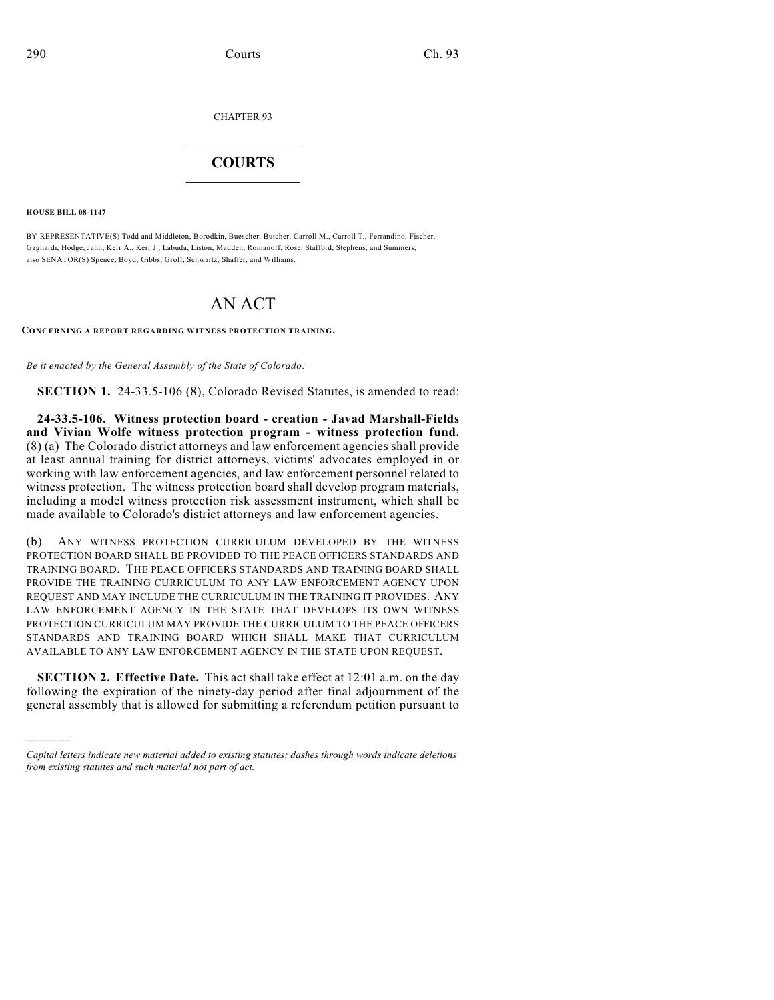CHAPTER 93

## $\mathcal{L}_\text{max}$  . The set of the set of the set of the set of the set of the set of the set of the set of the set of the set of the set of the set of the set of the set of the set of the set of the set of the set of the set **COURTS**  $\_$   $\_$   $\_$   $\_$   $\_$   $\_$   $\_$   $\_$

**HOUSE BILL 08-1147**

)))))

BY REPRESENTATIVE(S) Todd and Middleton, Borodkin, Buescher, Butcher, Carroll M., Carroll T., Ferrandino, Fischer, Gagliardi, Hodge, Jahn, Kerr A., Kerr J., Labuda, Liston, Madden, Romanoff, Rose, Stafford, Stephens, and Summers; also SENATOR(S) Spence, Boyd, Gibbs, Groff, Schwartz, Shaffer, and Williams.

## AN ACT

**CONCERNING A REPORT REGARDING WITNESS PROTECTION TRAINING.**

*Be it enacted by the General Assembly of the State of Colorado:*

**SECTION 1.** 24-33.5-106 (8), Colorado Revised Statutes, is amended to read:

**24-33.5-106. Witness protection board - creation - Javad Marshall-Fields and Vivian Wolfe witness protection program - witness protection fund.** (8) (a) The Colorado district attorneys and law enforcement agencies shall provide at least annual training for district attorneys, victims' advocates employed in or working with law enforcement agencies, and law enforcement personnel related to witness protection. The witness protection board shall develop program materials, including a model witness protection risk assessment instrument, which shall be made available to Colorado's district attorneys and law enforcement agencies.

(b) ANY WITNESS PROTECTION CURRICULUM DEVELOPED BY THE WITNESS PROTECTION BOARD SHALL BE PROVIDED TO THE PEACE OFFICERS STANDARDS AND TRAINING BOARD. THE PEACE OFFICERS STANDARDS AND TRAINING BOARD SHALL PROVIDE THE TRAINING CURRICULUM TO ANY LAW ENFORCEMENT AGENCY UPON REQUEST AND MAY INCLUDE THE CURRICULUM IN THE TRAINING IT PROVIDES. ANY LAW ENFORCEMENT AGENCY IN THE STATE THAT DEVELOPS ITS OWN WITNESS PROTECTION CURRICULUM MAY PROVIDE THE CURRICULUM TO THE PEACE OFFICERS STANDARDS AND TRAINING BOARD WHICH SHALL MAKE THAT CURRICULUM AVAILABLE TO ANY LAW ENFORCEMENT AGENCY IN THE STATE UPON REQUEST.

**SECTION 2. Effective Date.** This act shall take effect at 12:01 a.m. on the day following the expiration of the ninety-day period after final adjournment of the general assembly that is allowed for submitting a referendum petition pursuant to

*Capital letters indicate new material added to existing statutes; dashes through words indicate deletions from existing statutes and such material not part of act.*